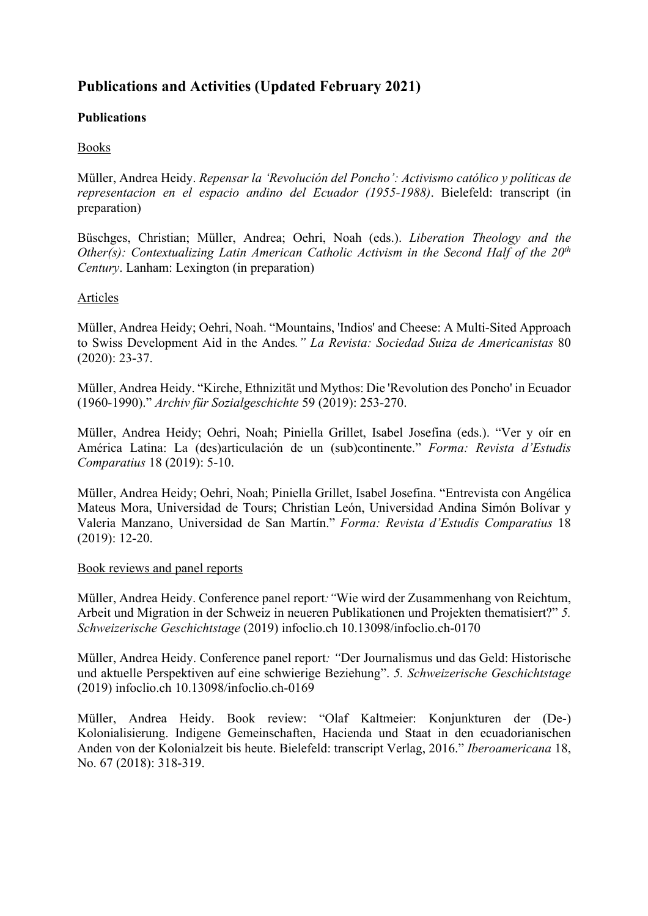# **Publications and Activities (Updated February 2021)**

## **Publications**

### Books

Müller, Andrea Heidy. *Repensar la 'Revolución del Poncho': Activismo católico y políticas de representacion en el espacio andino del Ecuador (1955-1988)*. Bielefeld: transcript (in preparation)

Büschges, Christian; Müller, Andrea; Oehri, Noah (eds.). *Liberation Theology and the Other(s): Contextualizing Latin American Catholic Activism in the Second Half of the 20th Century*. Lanham: Lexington (in preparation)

### Articles

Müller, Andrea Heidy; Oehri, Noah. "Mountains, 'Indios' and Cheese: A Multi-Sited Approach to Swiss Development Aid in the Andes*." La Revista: Sociedad Suiza de Americanistas* 80 (2020): 23-37.

Müller, Andrea Heidy. "Kirche, Ethnizität und Mythos: Die 'Revolution des Poncho' in Ecuador (1960-1990)." *Archiv für Sozialgeschichte* 59 (2019): 253-270.

Müller, Andrea Heidy; Oehri, Noah; Piniella Grillet, Isabel Josefina (eds.). "Ver y oír en América Latina: La (des)articulación de un (sub)continente." *Forma: Revista d'Estudis Comparatius* 18 (2019): 5-10.

Müller, Andrea Heidy; Oehri, Noah; Piniella Grillet, Isabel Josefina. "Entrevista con Angélica Mateus Mora, Universidad de Tours; Christian León, Universidad Andina Simón Bolívar y Valeria Manzano, Universidad de San Martín." *Forma: Revista d'Estudis Comparatius* 18 (2019): 12-20.

### Book reviews and panel reports

Müller, Andrea Heidy. Conference panel report*:"*Wie wird der Zusammenhang von Reichtum, Arbeit und Migration in der Schweiz in neueren Publikationen und Projekten thematisiert?" *5. Schweizerische Geschichtstage* (2019) infoclio.ch 10.13098/infoclio.ch-0170

Müller, Andrea Heidy. Conference panel report*: "*Der Journalismus und das Geld: Historische und aktuelle Perspektiven auf eine schwierige Beziehung". *5. Schweizerische Geschichtstage* (2019) infoclio.ch 10.13098/infoclio.ch-0169

Müller, Andrea Heidy. Book review: "Olaf Kaltmeier: Konjunkturen der (De-) Kolonialisierung. Indigene Gemeinschaften, Hacienda und Staat in den ecuadorianischen Anden von der Kolonialzeit bis heute. Bielefeld: transcript Verlag, 2016." *Iberoamericana* 18, No. 67 (2018): 318-319.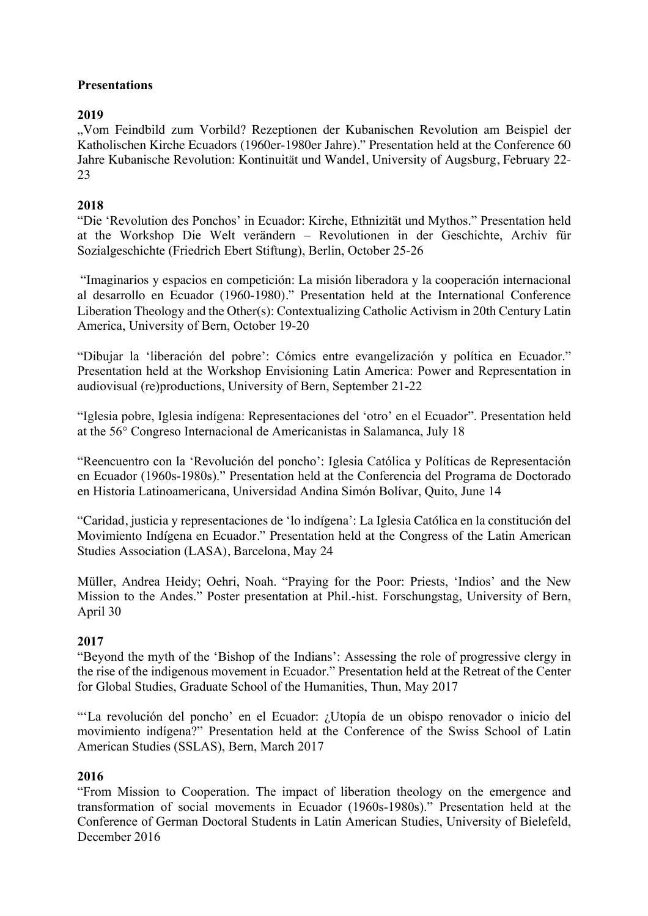# **Presentations**

# **2019**

"Vom Feindbild zum Vorbild? Rezeptionen der Kubanischen Revolution am Beispiel der Katholischen Kirche Ecuadors (1960er-1980er Jahre)." Presentation held at the Conference 60 Jahre Kubanische Revolution: Kontinuität und Wandel, University of Augsburg, February 22- 23

### **2018**

"Die 'Revolution des Ponchos' in Ecuador: Kirche, Ethnizität und Mythos." Presentation held at the Workshop Die Welt verändern – Revolutionen in der Geschichte, Archiv für Sozialgeschichte (Friedrich Ebert Stiftung), Berlin, October 25-26

"Imaginarios y espacios en competición: La misión liberadora y la cooperación internacional al desarrollo en Ecuador (1960-1980)." Presentation held at the International Conference Liberation Theology and the Other(s): Contextualizing Catholic Activism in 20th Century Latin America, University of Bern, October 19-20

"Dibujar la 'liberación del pobre': Cómics entre evangelización y política en Ecuador." Presentation held at the Workshop Envisioning Latin America: Power and Representation in audiovisual (re)productions, University of Bern, September 21-22

"Iglesia pobre, Iglesia indígena: Representaciones del 'otro' en el Ecuador". Presentation held at the 56° Congreso Internacional de Americanistas in Salamanca, July 18

"Reencuentro con la 'Revolución del poncho': Iglesia Católica y Políticas de Representación en Ecuador (1960s-1980s)." Presentation held at the Conferencia del Programa de Doctorado en Historia Latinoamericana, Universidad Andina Simón Bolívar, Quito, June 14

"Caridad, justicia y representaciones de 'lo indígena': La Iglesia Católica en la constitución del Movimiento Indígena en Ecuador." Presentation held at the Congress of the Latin American Studies Association (LASA), Barcelona, May 24

Müller, Andrea Heidy; Oehri, Noah. "Praying for the Poor: Priests, 'Indios' and the New Mission to the Andes." Poster presentation at Phil.-hist. Forschungstag, University of Bern, April 30

# **2017**

"Beyond the myth of the 'Bishop of the Indians': Assessing the role of progressive clergy in the rise of the indigenous movement in Ecuador." Presentation held at the Retreat of the Center for Global Studies, Graduate School of the Humanities, Thun, May 2017

"'La revolución del poncho' en el Ecuador: ¿Utopía de un obispo renovador o inicio del movimiento indígena?" Presentation held at the Conference of the Swiss School of Latin American Studies (SSLAS), Bern, March 2017

### **2016**

"From Mission to Cooperation. The impact of liberation theology on the emergence and transformation of social movements in Ecuador (1960s-1980s)." Presentation held at the Conference of German Doctoral Students in Latin American Studies, University of Bielefeld, December 2016